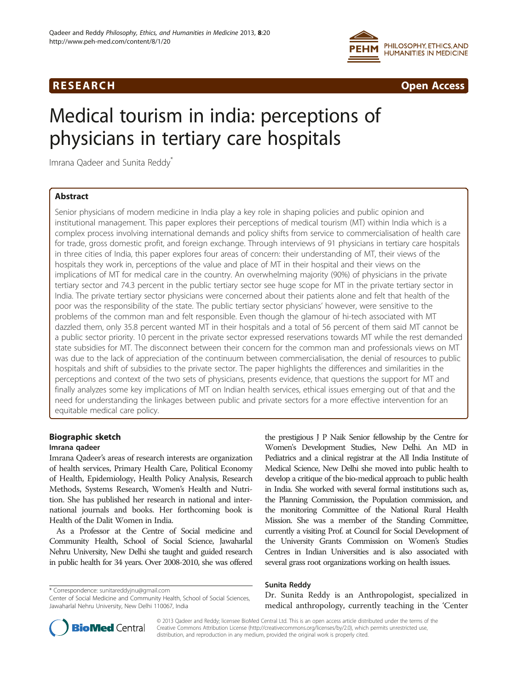



# Medical tourism in india: perceptions of physicians in tertiary care hospitals

Imrana Qadeer and Sunita Reddy\*

# Abstract

Senior physicians of modern medicine in India play a key role in shaping policies and public opinion and institutional management. This paper explores their perceptions of medical tourism (MT) within India which is a complex process involving international demands and policy shifts from service to commercialisation of health care for trade, gross domestic profit, and foreign exchange. Through interviews of 91 physicians in tertiary care hospitals in three cities of India, this paper explores four areas of concern: their understanding of MT, their views of the hospitals they work in, perceptions of the value and place of MT in their hospital and their views on the implications of MT for medical care in the country. An overwhelming majority (90%) of physicians in the private tertiary sector and 74.3 percent in the public tertiary sector see huge scope for MT in the private tertiary sector in India. The private tertiary sector physicians were concerned about their patients alone and felt that health of the poor was the responsibility of the state. The public tertiary sector physicians' however, were sensitive to the problems of the common man and felt responsible. Even though the glamour of hi-tech associated with MT dazzled them, only 35.8 percent wanted MT in their hospitals and a total of 56 percent of them said MT cannot be a public sector priority. 10 percent in the private sector expressed reservations towards MT while the rest demanded state subsidies for MT. The disconnect between their concern for the common man and professionals views on MT was due to the lack of appreciation of the continuum between commercialisation, the denial of resources to public hospitals and shift of subsidies to the private sector. The paper highlights the differences and similarities in the perceptions and context of the two sets of physicians, presents evidence, that questions the support for MT and finally analyzes some key implications of MT on Indian health services, ethical issues emerging out of that and the need for understanding the linkages between public and private sectors for a more effective intervention for an equitable medical care policy.

# Biographic sketch

# Imrana qadeer

Imrana Qadeer's areas of research interests are organization of health services, Primary Health Care, Political Economy of Health, Epidemiology, Health Policy Analysis, Research Methods, Systems Research, Women's Health and Nutrition. She has published her research in national and international journals and books. Her forthcoming book is Health of the Dalit Women in India.

As a Professor at the Centre of Social medicine and Community Health, School of Social Science, Jawaharlal Nehru University, New Delhi she taught and guided research in public health for 34 years. Over 2008-2010, she was offered

\* Correspondence: [sunitareddyjnu@gmail.com](mailto:sunitareddyjnu@gmail.com)

the prestigious J P Naik Senior fellowship by the Centre for Women's Development Studies, New Delhi. An MD in Pediatrics and a clinical registrar at the All India Institute of Medical Science, New Delhi she moved into public health to develop a critique of the bio-medical approach to public health in India. She worked with several formal institutions such as, the Planning Commission, the Population commission, and the monitoring Committee of the National Rural Health Mission. She was a member of the Standing Committee, currently a visiting Prof. at Council for Social Development of the University Grants Commission on Women's Studies Centres in Indian Universities and is also associated with several grass root organizations working on health issues.

# Sunita Reddy

Dr. Sunita Reddy is an Anthropologist, specialized in medical anthropology, currently teaching in the 'Center



© 2013 Qadeer and Reddy; licensee BioMed Central Ltd. This is an open access article distributed under the terms of the Creative Commons Attribution License (<http://creativecommons.org/licenses/by/2.0>), which permits unrestricted use, distribution, and reproduction in any medium, provided the original work is properly cited.

Center of Social Medicine and Community Health, School of Social Sciences, Jawaharlal Nehru University, New Delhi 110067, India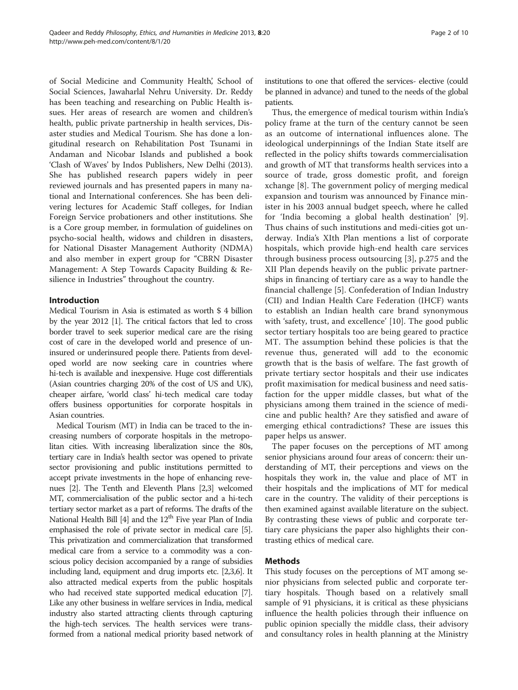of Social Medicine and Community Health', School of Social Sciences, Jawaharlal Nehru University. Dr. Reddy has been teaching and researching on Public Health issues. Her areas of research are women and children's health, public private partnership in health services, Disaster studies and Medical Tourism. She has done a longitudinal research on Rehabilitation Post Tsunami in Andaman and Nicobar Islands and published a book 'Clash of Waves' by Indos Publishers, New Delhi (2013). She has published research papers widely in peer reviewed journals and has presented papers in many national and International conferences. She has been delivering lectures for Academic Staff colleges, for Indian Foreign Service probationers and other institutions. She is a Core group member, in formulation of guidelines on psycho-social health, widows and children in disasters, for National Disaster Management Authority (NDMA) and also member in expert group for "CBRN Disaster Management: A Step Towards Capacity Building & Resilience in Industries" throughout the country.

#### Introduction

Medical Tourism in Asia is estimated as worth \$ 4 billion by the year 2012 [\[1](#page-8-0)]. The critical factors that led to cross border travel to seek superior medical care are the rising cost of care in the developed world and presence of uninsured or underinsured people there. Patients from developed world are now seeking care in countries where hi-tech is available and inexpensive. Huge cost differentials (Asian countries charging 20% of the cost of US and UK), cheaper airfare, 'world class' hi-tech medical care today offers business opportunities for corporate hospitals in Asian countries.

Medical Tourism (MT) in India can be traced to the increasing numbers of corporate hospitals in the metropolitan cities. With increasing liberalization since the 80s, tertiary care in India's health sector was opened to private sector provisioning and public institutions permitted to accept private investments in the hope of enhancing revenues [[2](#page-8-0)]. The Tenth and Eleventh Plans [[2](#page-8-0)[,3](#page-9-0)] welcomed MT, commercialisation of the public sector and a hi-tech tertiary sector market as a part of reforms. The drafts of the National Health Bill  $[4]$  and the  $12<sup>th</sup>$  Five year Plan of India emphasised the role of private sector in medical care [[5](#page-9-0)]. This privatization and commercialization that transformed medical care from a service to a commodity was a conscious policy decision accompanied by a range of subsidies including land, equipment and drug imports etc. [\[2](#page-8-0)[,3,6\]](#page-9-0). It also attracted medical experts from the public hospitals who had received state supported medical education [[7](#page-9-0)]. Like any other business in welfare services in India, medical industry also started attracting clients through capturing the high-tech services. The health services were transformed from a national medical priority based network of institutions to one that offered the services- elective (could be planned in advance) and tuned to the needs of the global patients.

Thus, the emergence of medical tourism within India's policy frame at the turn of the century cannot be seen as an outcome of international influences alone. The ideological underpinnings of the Indian State itself are reflected in the policy shifts towards commercialisation and growth of MT that transforms health services into a source of trade, gross domestic profit, and foreign xchange [[8\]](#page-9-0). The government policy of merging medical expansion and tourism was announced by Finance minister in his 2003 annual budget speech, where he called for 'India becoming a global health destination' [\[9](#page-9-0)]. Thus chains of such institutions and medi-cities got underway. India's XIth Plan mentions a list of corporate hospitals, which provide high-end health care services through business process outsourcing [\[3](#page-9-0)], p.275 and the XII Plan depends heavily on the public private partnerships in financing of tertiary care as a way to handle the financial challenge [[5\]](#page-9-0). Confederation of Indian Industry (CII) and Indian Health Care Federation (IHCF) wants to establish an Indian health care brand synonymous with 'safety, trust, and excellence' [[10](#page-9-0)]. The good public sector tertiary hospitals too are being geared to practice MT. The assumption behind these policies is that the revenue thus, generated will add to the economic growth that is the basis of welfare. The fast growth of private tertiary sector hospitals and their use indicates profit maximisation for medical business and need satisfaction for the upper middle classes, but what of the physicians among them trained in the science of medicine and public health? Are they satisfied and aware of emerging ethical contradictions? These are issues this paper helps us answer.

The paper focuses on the perceptions of MT among senior physicians around four areas of concern: their understanding of MT, their perceptions and views on the hospitals they work in, the value and place of MT in their hospitals and the implications of MT for medical care in the country. The validity of their perceptions is then examined against available literature on the subject. By contrasting these views of public and corporate tertiary care physicians the paper also highlights their contrasting ethics of medical care.

#### Methods

This study focuses on the perceptions of MT among senior physicians from selected public and corporate tertiary hospitals. Though based on a relatively small sample of 91 physicians, it is critical as these physicians influence the health policies through their influence on public opinion specially the middle class, their advisory and consultancy roles in health planning at the Ministry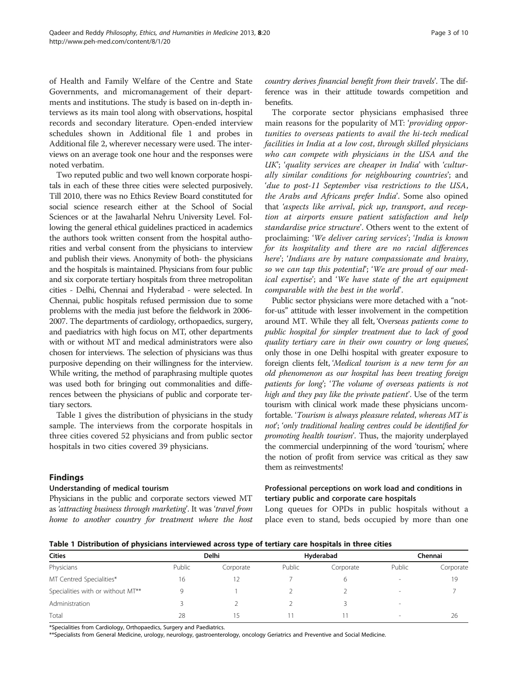of Health and Family Welfare of the Centre and State Governments, and micromanagement of their departments and institutions. The study is based on in-depth interviews as its main tool along with observations, hospital records and secondary literature. Open-ended interview schedules shown in Additional file [1](#page-8-0) and probes in Additional file [2](#page-8-0), wherever necessary were used. The interviews on an average took one hour and the responses were noted verbatim.

Two reputed public and two well known corporate hospitals in each of these three cities were selected purposively. Till 2010, there was no Ethics Review Board constituted for social science research either at the School of Social Sciences or at the Jawaharlal Nehru University Level. Following the general ethical guidelines practiced in academics the authors took written consent from the hospital authorities and verbal consent from the physicians to interview and publish their views. Anonymity of both- the physicians and the hospitals is maintained. Physicians from four public and six corporate tertiary hospitals from three metropolitan cities - Delhi, Chennai and Hyderabad - were selected. In Chennai, public hospitals refused permission due to some problems with the media just before the fieldwork in 2006- 2007. The departments of cardiology, orthopaedics, surgery, and paediatrics with high focus on MT, other departments with or without MT and medical administrators were also chosen for interviews. The selection of physicians was thus purposive depending on their willingness for the interview. While writing, the method of paraphrasing multiple quotes was used both for bringing out commonalities and differences between the physicians of public and corporate tertiary sectors.

Table 1 gives the distribution of physicians in the study sample. The interviews from the corporate hospitals in three cities covered 52 physicians and from public sector hospitals in two cities covered 39 physicians.

#### Findings

#### Understanding of medical tourism

Physicians in the public and corporate sectors viewed MT as 'attracting business through marketing'. It was 'travel from home to another country for treatment where the host

country derives financial benefit from their travels'. The difference was in their attitude towards competition and benefits.

The corporate sector physicians emphasised three main reasons for the popularity of MT: 'providing opportunities to overseas patients to avail the hi-tech medical facilities in India at a low cost, through skilled physicians who can compete with physicians in the USA and the UK'; 'quality services are cheaper in India' with 'culturally similar conditions for neighbouring countries'; and 'due to post-11 September visa restrictions to the USA, the Arabs and Africans prefer India'. Some also opined that 'aspects like arrival, pick up, transport, and reception at airports ensure patient satisfaction and help standardise price structure'. Others went to the extent of proclaiming: 'We deliver caring services'; 'India is known for its hospitality and there are no racial differences here'; 'Indians are by nature compassionate and brainy, so we can tap this potential'; 'We are proud of our medical expertise'; and 'We have state of the art equipment comparable with the best in the world'.

Public sector physicians were more detached with a "notfor-us" attitude with lesser involvement in the competition around MT. While they all felt, 'Overseas patients come to public hospital for simpler treatment due to lack of good quality tertiary care in their own country or long queues, only those in one Delhi hospital with greater exposure to foreign clients felt, 'Medical tourism is a new term for an old phenomenon as our hospital has been treating foreign patients for long'; 'The volume of overseas patients is not high and they pay like the private patient'. Use of the term tourism with clinical work made these physicians uncomfortable. 'Tourism is always pleasure related, whereas MT is not'; 'only traditional healing centres could be identified for promoting health tourism'. Thus, the majority underplayed the commercial underpinning of the word 'tourism, where ' the notion of profit from service was critical as they saw them as reinvestments!

# Professional perceptions on work load and conditions in tertiary public and corporate care hospitals

Long queues for OPDs in public hospitals without a place even to stand, beds occupied by more than one

Table 1 Distribution of physicians interviewed across type of tertiary care hospitals in three cities

| <b>Cities</b><br>Physicians       | Delhi  |           | Hyderabad |           | Chennai                  |           |
|-----------------------------------|--------|-----------|-----------|-----------|--------------------------|-----------|
|                                   | Public | Corporate | Public    | Corporate | Public                   | Corporate |
| MT Centred Specialities*          | 16     |           |           |           | -                        | 19        |
| Specialities with or without MT** | Q      |           |           |           | -                        |           |
| Administration                    |        |           |           |           | $\overline{\phantom{a}}$ |           |
| Total                             | 28     |           |           |           |                          | 26        |

\*Specialities from Cardiology, Orthopaedics, Surgery and Paediatrics.

\*\*Specialists from General Medicine, urology, neurology, gastroenterology, oncology Geriatrics and Preventive and Social Medicine.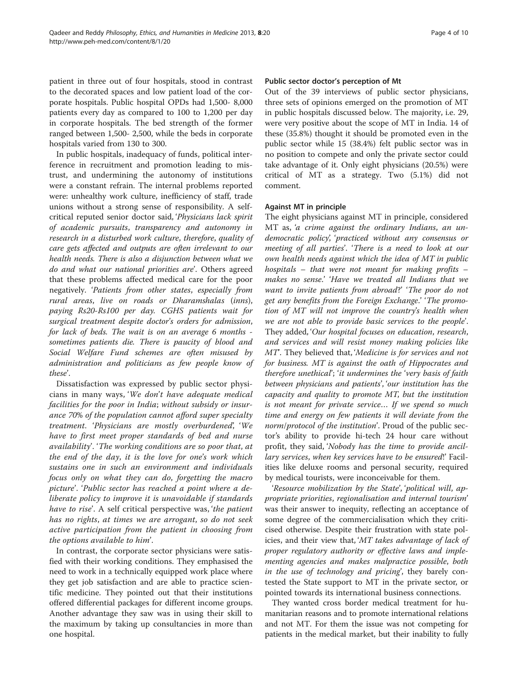patient in three out of four hospitals, stood in contrast to the decorated spaces and low patient load of the corporate hospitals. Public hospital OPDs had 1,500- 8,000 patients every day as compared to 100 to 1,200 per day in corporate hospitals. The bed strength of the former ranged between 1,500- 2,500, while the beds in corporate hospitals varied from 130 to 300.

In public hospitals, inadequacy of funds, political interference in recruitment and promotion leading to mistrust, and undermining the autonomy of institutions were a constant refrain. The internal problems reported were: unhealthy work culture, inefficiency of staff, trade unions without a strong sense of responsibility. A selfcritical reputed senior doctor said, 'Physicians lack spirit of academic pursuits, transparency and autonomy in research in a disturbed work culture, therefore, quality of care gets affected and outputs are often irrelevant to our health needs. There is also a disjunction between what we do and what our national priorities are'. Others agreed that these problems affected medical care for the poor negatively. 'Patients from other states, especially from rural areas, live on roads or Dharamshalas (inns), paying Rs20-Rs100 per day. CGHS patients wait for surgical treatment despite doctor's orders for admission, for lack of beds. The wait is on an average 6 months sometimes patients die. There is paucity of blood and Social Welfare Fund schemes are often misused by administration and politicians as few people know of these'.

Dissatisfaction was expressed by public sector physicians in many ways, 'We don't have adequate medical facilities for the poor in India; without subsidy or insurance 70% of the population cannot afford super specialty treatment. 'Physicians are mostly overburdened', 'We have to first meet proper standards of bed and nurse availability'. 'The working conditions are so poor that, at the end of the day, it is the love for one's work which sustains one in such an environment and individuals focus only on what they can do, forgetting the macro picture'. 'Public sector has reached a point where a deliberate policy to improve it is unavoidable if standards have to rise'. A self critical perspective was, 'the patient has no rights, at times we are arrogant, so do not seek active participation from the patient in choosing from the options available to him'.

In contrast, the corporate sector physicians were satisfied with their working conditions. They emphasised the need to work in a technically equipped work place where they get job satisfaction and are able to practice scientific medicine. They pointed out that their institutions offered differential packages for different income groups. Another advantage they saw was in using their skill to the maximum by taking up consultancies in more than one hospital.

#### Public sector doctor's perception of Mt

Out of the 39 interviews of public sector physicians, three sets of opinions emerged on the promotion of MT in public hospitals discussed below. The majority, i.e. 29, were very positive about the scope of MT in India. 14 of these (35.8%) thought it should be promoted even in the public sector while 15 (38.4%) felt public sector was in no position to compete and only the private sector could take advantage of it. Only eight physicians (20.5%) were critical of MT as a strategy. Two (5.1%) did not comment.

#### Against MT in principle

The eight physicians against MT in principle, considered MT as, 'a crime against the ordinary Indians, an undemocratic policy', 'practiced without any consensus or meeting of all parties'. 'There is a need to look at our own health needs against which the idea of MT in public hospitals – that were not meant for making profits – makes no sense.' 'Have we treated all Indians that we want to invite patients from abroad?' 'The poor do not get any benefits from the Foreign Exchange.' 'The promotion of MT will not improve the country's health when we are not able to provide basic services to the people'. They added, 'Our hospital focuses on education, research, and services and will resist money making policies like MT'. They believed that, 'Medicine is for services and not for business. MT is against the oath of Hippocrates and therefore unethical'; 'it undermines the 'very basis of faith between physicians and patients', 'our institution has the capacity and quality to promote MT, but the institution is not meant for private service… If we spend so much time and energy on few patients it will deviate from the norm/protocol of the institution'. Proud of the public sector's ability to provide hi-tech 24 hour care without profit, they said, 'Nobody has the time to provide ancillary services, when key services have to be ensured!' Facilities like deluxe rooms and personal security, required by medical tourists, were inconceivable for them.

'Resource mobilization by the State', 'political will, appropriate priorities, regionalisation and internal tourism' was their answer to inequity, reflecting an acceptance of some degree of the commercialisation which they criticised otherwise. Despite their frustration with state policies, and their view that, 'MT takes advantage of lack of proper regulatory authority or effective laws and implementing agencies and makes malpractice possible, both in the use of technology and pricing', they barely contested the State support to MT in the private sector, or pointed towards its international business connections.

They wanted cross border medical treatment for humanitarian reasons and to promote international relations and not MT. For them the issue was not competing for patients in the medical market, but their inability to fully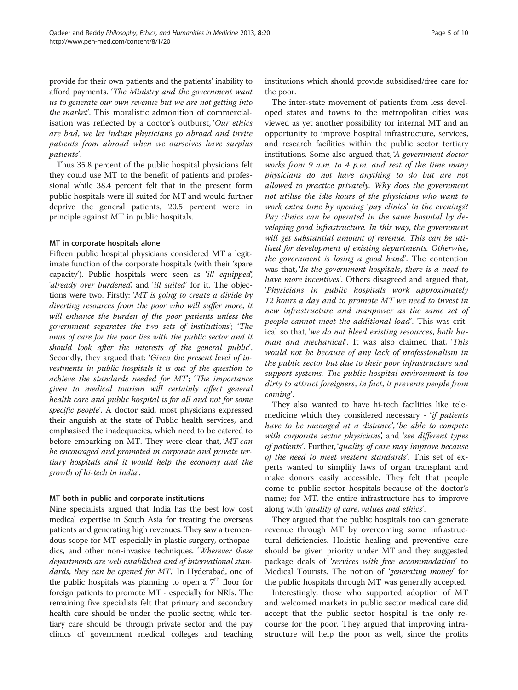provide for their own patients and the patients' inability to afford payments. 'The Ministry and the government want us to generate our own revenue but we are not getting into the market'. This moralistic admonition of commercialisation was reflected by a doctor's outburst, 'Our ethics are bad, we let Indian physicians go abroad and invite patients from abroad when we ourselves have surplus patients'.

Thus 35.8 percent of the public hospital physicians felt they could use MT to the benefit of patients and professional while 38.4 percent felt that in the present form public hospitals were ill suited for MT and would further deprive the general patients, 20.5 percent were in principle against MT in public hospitals.

#### MT in corporate hospitals alone

Fifteen public hospital physicians considered MT a legitimate function of the corporate hospitals (with their 'spare capacity'). Public hospitals were seen as 'ill equipped', 'already over burdened', and 'ill suited' for it. The objections were two. Firstly: 'MT is going to create a divide by diverting resources from the poor who will suffer more, it will enhance the burden of the poor patients unless the government separates the two sets of institutions'; 'The onus of care for the poor lies with the public sector and it should look after the interests of the general public'. Secondly, they argued that: 'Given the present level of investments in public hospitals it is out of the question to achieve the standards needed for MT'; 'The importance given to medical tourism will certainly affect general health care and public hospital is for all and not for some specific people'. A doctor said, most physicians expressed their anguish at the state of Public health services, and emphasised the inadequacies, which need to be catered to before embarking on MT. They were clear that, 'MT can be encouraged and promoted in corporate and private tertiary hospitals and it would help the economy and the growth of hi-tech in India'.

#### MT both in public and corporate institutions

Nine specialists argued that India has the best low cost medical expertise in South Asia for treating the overseas patients and generating high revenues. They saw a tremendous scope for MT especially in plastic surgery, orthopaedics, and other non-invasive techniques. 'Wherever these departments are well established and of international standards, they can be opened for MT.' In Hyderabad, one of the public hospitals was planning to open a  $7<sup>th</sup>$  floor for foreign patients to promote MT - especially for NRIs. The remaining five specialists felt that primary and secondary health care should be under the public sector, while tertiary care should be through private sector and the pay clinics of government medical colleges and teaching institutions which should provide subsidised/free care for the poor.

The inter-state movement of patients from less developed states and towns to the metropolitan cities was viewed as yet another possibility for internal MT and an opportunity to improve hospital infrastructure, services, and research facilities within the public sector tertiary institutions. Some also argued that, 'A government doctor works from 9 a.m. to 4 p.m. and rest of the time many physicians do not have anything to do but are not allowed to practice privately. Why does the government not utilise the idle hours of the physicians who want to work extra time by opening 'pay clinics' in the evenings? Pay clinics can be operated in the same hospital by developing good infrastructure. In this way, the government will get substantial amount of revenue. This can be utilised for development of existing departments. Otherwise, the government is losing a good hand'. The contention was that, 'In the government hospitals, there is a need to have more incentives'. Others disagreed and argued that, 'Physicians in public hospitals work approximately 12 hours a day and to promote MT we need to invest in new infrastructure and manpower as the same set of people cannot meet the additional load'. This was critical so that, 'we do not bleed existing resources, both human and mechanical'. It was also claimed that, 'This would not be because of any lack of professionalism in the public sector but due to their poor infrastructure and support systems. The public hospital environment is too dirty to attract foreigners, in fact, it prevents people from coming'.

They also wanted to have hi-tech facilities like telemedicine which they considered necessary - 'if patients have to be managed at a distance', 'be able to compete with corporate sector physicians', and 'see different types of patients'. Further, 'quality of care may improve because of the need to meet western standards'. This set of experts wanted to simplify laws of organ transplant and make donors easily accessible. They felt that people come to public sector hospitals because of the doctor's name; for MT, the entire infrastructure has to improve along with 'quality of care, values and ethics'.

They argued that the public hospitals too can generate revenue through MT by overcoming some infrastructural deficiencies. Holistic healing and preventive care should be given priority under MT and they suggested package deals of 'services with free accommodation' to Medical Tourists. The notion of 'generating money' for the public hospitals through MT was generally accepted.

Interestingly, those who supported adoption of MT and welcomed markets in public sector medical care did accept that the public sector hospital is the only recourse for the poor. They argued that improving infrastructure will help the poor as well, since the profits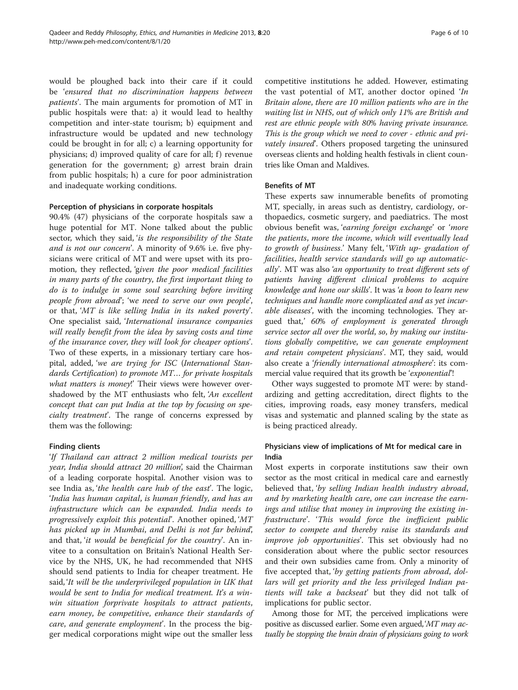would be ploughed back into their care if it could be 'ensured that no discrimination happens between patients'. The main arguments for promotion of MT in public hospitals were that: a) it would lead to healthy competition and inter-state tourism; b) equipment and infrastructure would be updated and new technology could be brought in for all; c) a learning opportunity for physicians; d) improved quality of care for all; f) revenue generation for the government; g) arrest brain drain from public hospitals; h) a cure for poor administration and inadequate working conditions.

#### Perception of physicians in corporate hospitals

90.4% (47) physicians of the corporate hospitals saw a huge potential for MT. None talked about the public sector, which they said, 'is the responsibility of the State and is not our concern'. A minority of 9.6% i.e. five physicians were critical of MT and were upset with its promotion, they reflected, 'given the poor medical facilities in many parts of the country, the first important thing to do is to indulge in some soul searching before inviting people from abroad'; 'we need to serve our own people', or that, 'MT is like selling India in its naked poverty'. One specialist said, 'International insurance companies will really benefit from the idea by saving costs and time of the insurance cover, they will look for cheaper options'. Two of these experts, in a missionary tertiary care hospital, added, 'we are trying for ISC (International Standards Certification) to promote MT… for private hospitals what matters is money!' Their views were however overshadowed by the MT enthusiasts who felt, 'An excellent concept that can put India at the top by focusing on specialty treatment'. The range of concerns expressed by them was the following:

# Finding clients

'If Thailand can attract 2 million medical tourists per year, India should attract 20 million', said the Chairman of a leading corporate hospital. Another vision was to see India as, 'the health care hub of the east'. The logic, 'India has human capital, is human friendly, and has an infrastructure which can be expanded. India needs to progressively exploit this potential'. Another opined, 'MT has picked up in Mumbai, and Delhi is not far behind', and that, 'it would be beneficial for the country'. An invitee to a consultation on Britain's National Health Service by the NHS, UK, he had recommended that NHS should send patients to India for cheaper treatment. He said, 'It will be the underprivileged population in UK that would be sent to India for medical treatment. It's a winwin situation forprivate hospitals to attract patients, earn money, be competitive, enhance their standards of care, and generate employment'. In the process the bigger medical corporations might wipe out the smaller less

competitive institutions he added. However, estimating the vast potential of MT, another doctor opined 'In Britain alone, there are 10 million patients who are in the waiting list in NHS, out of which only 11% are British and rest are ethnic people with 80% having private insurance. This is the group which we need to cover - ethnic and privately insured'. Others proposed targeting the uninsured overseas clients and holding health festivals in client countries like Oman and Maldives.

#### Benefits of MT

These experts saw innumerable benefits of promoting MT, specially, in areas such as dentistry, cardiology, orthopaedics, cosmetic surgery, and paediatrics. The most obvious benefit was, 'earning foreign exchange' or 'more the patients, more the income, which will eventually lead to growth of business.' Many felt, 'With up- gradation of facilities, health service standards will go up automatically'. MT was also 'an opportunity to treat different sets of patients having different clinical problems to acquire knowledge and hone our skills'. It was 'a boon to learn new techniques and handle more complicated and as yet incurable diseases', with the incoming technologies. They argued that,' 60% of employment is generated through service sector all over the world, so, by making our institutions globally competitive, we can generate employment and retain competent physicians'. MT, they said, would also create a 'friendly international atmosphere': its commercial value required that its growth be 'exponential'!

Other ways suggested to promote MT were: by standardizing and getting accreditation, direct flights to the cities, improving roads, easy money transfers, medical visas and systematic and planned scaling by the state as is being practiced already.

# Physicians view of implications of Mt for medical care in India

Most experts in corporate institutions saw their own sector as the most critical in medical care and earnestly believed that, 'by selling Indian health industry abroad, and by marketing health care, one can increase the earnings and utilise that money in improving the existing infrastructure'. 'This would force the inefficient public sector to compete and thereby raise its standards and improve job opportunities'. This set obviously had no consideration about where the public sector resources and their own subsidies came from. Only a minority of five accepted that, 'by getting patients from abroad, dollars will get priority and the less privileged Indian patients will take a backseat' but they did not talk of implications for public sector.

Among those for MT, the perceived implications were positive as discussed earlier. Some even argued,'MT may actually be stopping the brain drain of physicians going to work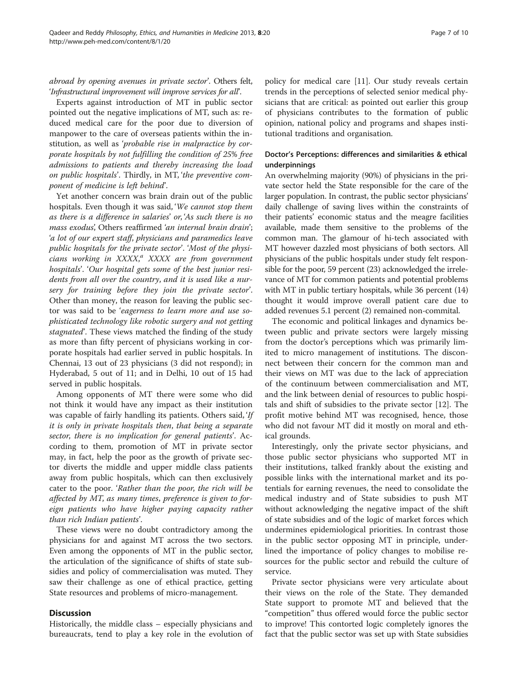abroad by opening avenues in private sector'. Others felt, 'Infrastructural improvement will improve services for all'.

Experts against introduction of MT in public sector pointed out the negative implications of MT, such as: reduced medical care for the poor due to diversion of manpower to the care of overseas patients within the institution, as well as 'probable rise in malpractice by corporate hospitals by not fulfilling the condition of 25% free admissions to patients and thereby increasing the load on public hospitals'. Thirdly, in MT, 'the preventive component of medicine is left behind'.

Yet another concern was brain drain out of the public hospitals. Even though it was said, 'We cannot stop them as there is a difference in salaries' or, 'As such there is no mass exodus', Others reaffirmed 'an internal brain drain'; 'a lot of our expert staff, physicians and paramedics leave public hospitals for the private sector'. 'Most of the physicians working in XXXX,<sup>a</sup> XXXX are from government hospitals'. 'Our hospital gets some of the best junior residents from all over the country, and it is used like a nursery for training before they join the private sector'. Other than money, the reason for leaving the public sector was said to be 'eagerness to learn more and use sophisticated technology like robotic surgery and not getting stagnated'. These views matched the finding of the study as more than fifty percent of physicians working in corporate hospitals had earlier served in public hospitals. In Chennai, 13 out of 23 physicians (3 did not respond); in Hyderabad, 5 out of 11; and in Delhi, 10 out of 15 had served in public hospitals.

Among opponents of MT there were some who did not think it would have any impact as their institution was capable of fairly handling its patients. Others said, 'If it is only in private hospitals then, that being a separate sector, there is no implication for general patients'. According to them, promotion of MT in private sector may, in fact, help the poor as the growth of private sector diverts the middle and upper middle class patients away from public hospitals, which can then exclusively cater to the poor. 'Rather than the poor, the rich will be affected by MT, as many times, preference is given to foreign patients who have higher paying capacity rather than rich Indian patients'.

These views were no doubt contradictory among the physicians for and against MT across the two sectors. Even among the opponents of MT in the public sector, the articulation of the significance of shifts of state subsidies and policy of commercialisation was muted. They saw their challenge as one of ethical practice, getting State resources and problems of micro-management.

#### **Discussion**

Historically, the middle class – especially physicians and bureaucrats, tend to play a key role in the evolution of policy for medical care [[11\]](#page-9-0). Our study reveals certain trends in the perceptions of selected senior medical physicians that are critical: as pointed out earlier this group of physicians contributes to the formation of public opinion, national policy and programs and shapes institutional traditions and organisation.

# Doctor's Perceptions: differences and similarities & ethical underpinnings

An overwhelming majority (90%) of physicians in the private sector held the State responsible for the care of the larger population. In contrast, the public sector physicians' daily challenge of saving lives within the constraints of their patients' economic status and the meagre facilities available, made them sensitive to the problems of the common man. The glamour of hi-tech associated with MT however dazzled most physicians of both sectors. All physicians of the public hospitals under study felt responsible for the poor, 59 percent (23) acknowledged the irrelevance of MT for common patients and potential problems with MT in public tertiary hospitals, while 36 percent (14) thought it would improve overall patient care due to added revenues 5.1 percent (2) remained non-commital.

The economic and political linkages and dynamics between public and private sectors were largely missing from the doctor's perceptions which was primarily limited to micro management of institutions. The disconnect between their concern for the common man and their views on MT was due to the lack of appreciation of the continuum between commercialisation and MT, and the link between denial of resources to public hospitals and shift of subsidies to the private sector [[12\]](#page-9-0). The profit motive behind MT was recognised, hence, those who did not favour MT did it mostly on moral and ethical grounds.

Interestingly, only the private sector physicians, and those public sector physicians who supported MT in their institutions, talked frankly about the existing and possible links with the international market and its potentials for earning revenues, the need to consolidate the medical industry and of State subsidies to push MT without acknowledging the negative impact of the shift of state subsidies and of the logic of market forces which undermines epidemiological priorities. In contrast those in the public sector opposing MT in principle, underlined the importance of policy changes to mobilise resources for the public sector and rebuild the culture of service.

Private sector physicians were very articulate about their views on the role of the State. They demanded State support to promote MT and believed that the "competition" thus offered would force the public sector to improve! This contorted logic completely ignores the fact that the public sector was set up with State subsidies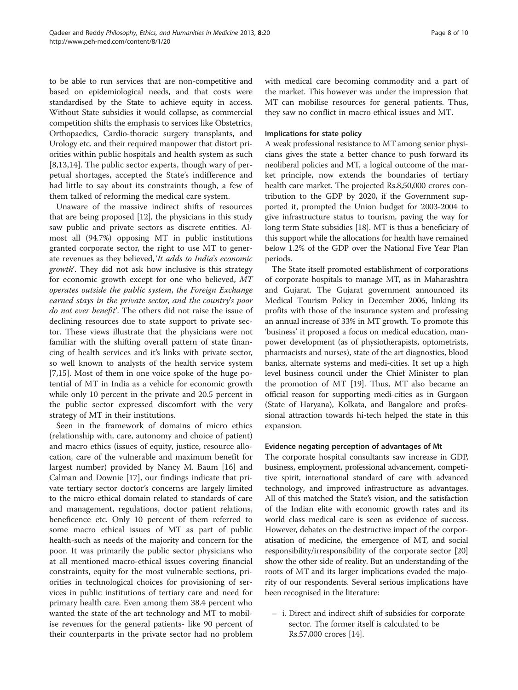to be able to run services that are non-competitive and based on epidemiological needs, and that costs were standardised by the State to achieve equity in access. Without State subsidies it would collapse, as commercial competition shifts the emphasis to services like Obstetrics, Orthopaedics, Cardio-thoracic surgery transplants, and Urology etc. and their required manpower that distort priorities within public hospitals and health system as such [[8,13,14](#page-9-0)]. The public sector experts, though wary of perpetual shortages, accepted the State's indifference and had little to say about its constraints though, a few of them talked of reforming the medical care system.

Unaware of the massive indirect shifts of resources that are being proposed [[12](#page-9-0)], the physicians in this study saw public and private sectors as discrete entities. Almost all (94.7%) opposing MT in public institutions granted corporate sector, the right to use MT to generate revenues as they believed, 'It adds to India's economic growth'. They did not ask how inclusive is this strategy for economic growth except for one who believed, MT operates outside the public system, the Foreign Exchange earned stays in the private sector, and the country's poor do not ever benefit'. The others did not raise the issue of declining resources due to state support to private sector. These views illustrate that the physicians were not familiar with the shifting overall pattern of state financing of health services and it's links with private sector, so well known to analysts of the health service system [[7,15\]](#page-9-0). Most of them in one voice spoke of the huge potential of MT in India as a vehicle for economic growth while only 10 percent in the private and 20.5 percent in the public sector expressed discomfort with the very strategy of MT in their institutions.

Seen in the framework of domains of micro ethics (relationship with, care, autonomy and choice of patient) and macro ethics (issues of equity, justice, resource allocation, care of the vulnerable and maximum benefit for largest number) provided by Nancy M. Baum [\[16](#page-9-0)] and Calman and Downie [\[17](#page-9-0)], our findings indicate that private tertiary sector doctor's concerns are largely limited to the micro ethical domain related to standards of care and management, regulations, doctor patient relations, beneficence etc. Only 10 percent of them referred to some macro ethical issues of MT as part of public health-such as needs of the majority and concern for the poor. It was primarily the public sector physicians who at all mentioned macro-ethical issues covering financial constraints, equity for the most vulnerable sections, priorities in technological choices for provisioning of services in public institutions of tertiary care and need for primary health care. Even among them 38.4 percent who wanted the state of the art technology and MT to mobilise revenues for the general patients- like 90 percent of their counterparts in the private sector had no problem with medical care becoming commodity and a part of the market. This however was under the impression that MT can mobilise resources for general patients. Thus, they saw no conflict in macro ethical issues and MT.

#### Implications for state policy

A weak professional resistance to MT among senior physicians gives the state a better chance to push forward its neoliberal policies and MT, a logical outcome of the market principle, now extends the boundaries of tertiary health care market. The projected Rs.8,50,000 crores contribution to the GDP by 2020, if the Government supported it, prompted the Union budget for 2003-2004 to give infrastructure status to tourism, paving the way for long term State subsidies [[18](#page-9-0)]. MT is thus a beneficiary of this support while the allocations for health have remained below 1.2% of the GDP over the National Five Year Plan periods.

The State itself promoted establishment of corporations of corporate hospitals to manage MT, as in Maharashtra and Gujarat. The Gujarat government announced its Medical Tourism Policy in December 2006, linking its profits with those of the insurance system and professing an annual increase of 33% in MT growth. To promote this 'business' it proposed a focus on medical education, manpower development (as of physiotherapists, optometrists, pharmacists and nurses), state of the art diagnostics, blood banks, alternate systems and medi-cities. It set up a high level business council under the Chief Minister to plan the promotion of MT [\[19\]](#page-9-0). Thus, MT also became an official reason for supporting medi-cities as in Gurgaon (State of Haryana), Kolkata, and Bangalore and professional attraction towards hi-tech helped the state in this expansion.

# Evidence negating perception of advantages of Mt

The corporate hospital consultants saw increase in GDP, business, employment, professional advancement, competitive spirit, international standard of care with advanced technology, and improved infrastructure as advantages. All of this matched the State's vision, and the satisfaction of the Indian elite with economic growth rates and its world class medical care is seen as evidence of success. However, debates on the destructive impact of the corporatisation of medicine, the emergence of MT, and social responsibility/irresponsibility of the corporate sector [[20](#page-9-0)] show the other side of reality. But an understanding of the roots of MT and its larger implications evaded the majority of our respondents. Several serious implications have been recognised in the literature:

– i. Direct and indirect shift of subsidies for corporate sector. The former itself is calculated to be Rs.57,000 crores [\[14\]](#page-9-0).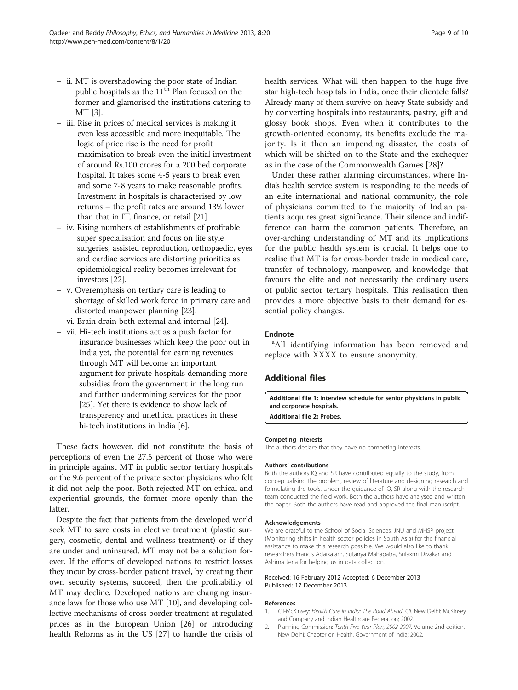- <span id="page-8-0"></span>– ii. MT is overshadowing the poor state of Indian public hospitals as the 11<sup>th</sup> Plan focused on the former and glamorised the institutions catering to MT [\[3](#page-9-0)].
- iii. Rise in prices of medical services is making it even less accessible and more inequitable. The logic of price rise is the need for profit maximisation to break even the initial investment of around Rs.100 crores for a 200 bed corporate hospital. It takes some 4-5 years to break even and some 7-8 years to make reasonable profits. Investment in hospitals is characterised by low returns – the profit rates are around 13% lower than that in IT, finance, or retail [[21](#page-9-0)].
- iv. Rising numbers of establishments of profitable super specialisation and focus on life style surgeries, assisted reproduction, orthopaedic, eyes and cardiac services are distorting priorities as epidemiological reality becomes irrelevant for investors [[22](#page-9-0)].
- v. Overemphasis on tertiary care is leading to shortage of skilled work force in primary care and distorted manpower planning [\[23\]](#page-9-0).
- vi. Brain drain both external and internal [\[24\]](#page-9-0).
- vii. Hi-tech institutions act as a push factor for insurance businesses which keep the poor out in India yet, the potential for earning revenues through MT will become an important argument for private hospitals demanding more subsidies from the government in the long run and further undermining services for the poor [\[25\]](#page-9-0). Yet there is evidence to show lack of transparency and unethical practices in these hi-tech institutions in India [[6\]](#page-9-0).

These facts however, did not constitute the basis of perceptions of even the 27.5 percent of those who were in principle against MT in public sector tertiary hospitals or the 9.6 percent of the private sector physicians who felt it did not help the poor. Both rejected MT on ethical and experiential grounds, the former more openly than the latter.

Despite the fact that patients from the developed world seek MT to save costs in elective treatment (plastic surgery, cosmetic, dental and wellness treatment) or if they are under and uninsured, MT may not be a solution forever. If the efforts of developed nations to restrict losses they incur by cross-border patient travel, by creating their own security systems, succeed, then the profitability of MT may decline. Developed nations are changing insurance laws for those who use MT [[10](#page-9-0)], and developing collective mechanisms of cross border treatment at regulated prices as in the European Union [[26](#page-9-0)] or introducing health Reforms as in the US [\[27\]](#page-9-0) to handle the crisis of health services. What will then happen to the huge five star high-tech hospitals in India, once their clientele falls? Already many of them survive on heavy State subsidy and by converting hospitals into restaurants, pastry, gift and glossy book shops. Even when it contributes to the growth-oriented economy, its benefits exclude the majority. Is it then an impending disaster, the costs of which will be shifted on to the State and the exchequer as in the case of the Commonwealth Games [[28\]](#page-9-0)?

Under these rather alarming circumstances, where India's health service system is responding to the needs of an elite international and national community, the role of physicians committed to the majority of Indian patients acquires great significance. Their silence and indifference can harm the common patients. Therefore, an over-arching understanding of MT and its implications for the public health system is crucial. It helps one to realise that MT is for cross-border trade in medical care, transfer of technology, manpower, and knowledge that favours the elite and not necessarily the ordinary users of public sector tertiary hospitals. This realisation then provides a more objective basis to their demand for essential policy changes.

#### Endnote

<sup>a</sup>All identifying information has been removed and replace with XXXX to ensure anonymity.

# Additional files

[Additional file 1:](http://www.biomedcentral.com/content/supplementary/1747-5341-8-20-S1.doc) Interview schedule for senior physicians in public and corporate hospitals. [Additional file 2:](http://www.biomedcentral.com/content/supplementary/1747-5341-8-20-S2.docx) Probes.

#### Competing interests

The authors declare that they have no competing interests.

#### Authors' contributions

Both the authors IQ and SR have contributed equally to the study, from conceptualising the problem, review of literature and designing research and formulating the tools. Under the guidance of IQ, SR along with the research team conducted the field work. Both the authors have analysed and written the paper. Both the authors have read and approved the final manuscript.

#### Acknowledgements

We are grateful to the School of Social Sciences, JNU and MHSP project (Monitoring shifts in health sector policies in South Asia) for the financial assistance to make this research possible. We would also like to thank researchers Francis Adaikalam, Sutanya Mahapatra, Srilaxmi Divakar and Ashima Jena for helping us in data collection.

#### Received: 16 February 2012 Accepted: 6 December 2013 Published: 17 December 2013

#### References

- 1. CII-McKinsey: Health Care in India: The Road Ahead. CII. New Delhi: McKinsey and Company and Indian Healthcare Federation; 2002.
- 2. Planning Commission: Tenth Five Year Plan, 2002-2007. Volume 2nd edition. New Delhi: Chapter on Health, Government of India; 2002.